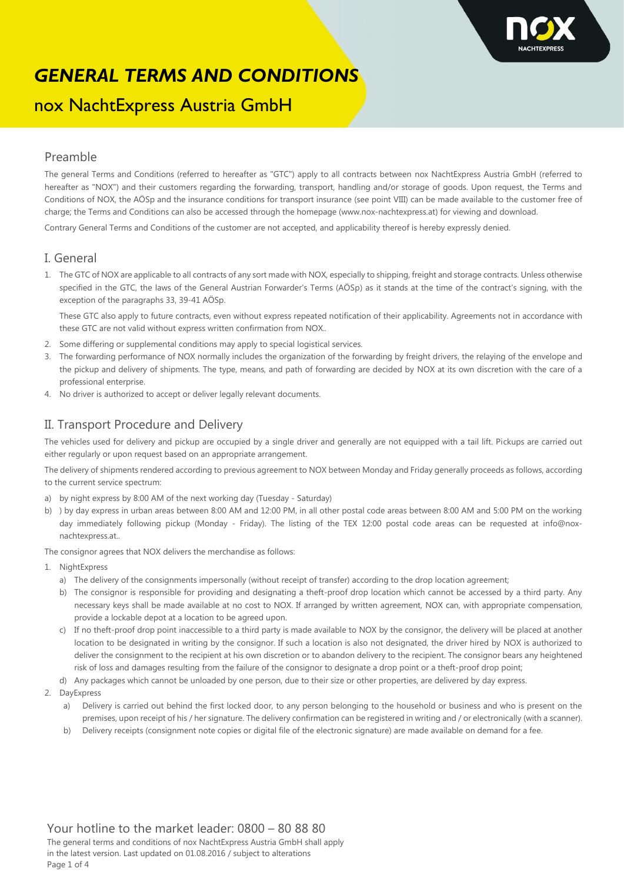

# nox NachtExpress Austria GmbH

#### Preamble

The general Terms and Conditions (referred to hereafter as "GTC") apply to all contracts between nox NachtExpress Austria GmbH (referred to hereafter as "NOX") and their customers regarding the forwarding, transport, handling and/or storage of goods. Upon request, the Terms and Conditions of NOX, the AÖSp and the insurance conditions for transport insurance (see point VIII) can be made available to the customer free of charge; the Terms and Conditions can also be accessed through the homepage (www.nox-nachtexpress.at) for viewing and download.

Contrary General Terms and Conditions of the customer are not accepted, and applicability thereof is hereby expressly denied.

#### I. General

1. The GTC of NOX are applicable to all contracts of any sort made with NOX, especially to shipping, freight and storage contracts. Unless otherwise specified in the GTC, the laws of the General Austrian Forwarder's Terms (AÖSp) as it stands at the time of the contract's signing, with the exception of the paragraphs 33, 39-41 AÖSp.

These GTC also apply to future contracts, even without express repeated notification of their applicability. Agreements not in accordance with these GTC are not valid without express written confirmation from NOX..

- 2. Some differing or supplemental conditions may apply to special logistical services.
- 3. The forwarding performance of NOX normally includes the organization of the forwarding by freight drivers, the relaying of the envelope and the pickup and delivery of shipments. The type, means, and path of forwarding are decided by NOX at its own discretion with the care of a professional enterprise.
- 4. No driver is authorized to accept or deliver legally relevant documents.

### II. Transport Procedure and Delivery

The vehicles used for delivery and pickup are occupied by a single driver and generally are not equipped with a tail lift. Pickups are carried out either regularly or upon request based on an appropriate arrangement.

The delivery of shipments rendered according to previous agreement to NOX between Monday and Friday generally proceeds as follows, according to the current service spectrum:

- a) by night express by 8:00 AM of the next working day (Tuesday Saturday)
- b) ) by day express in urban areas between 8:00 AM and 12:00 PM, in all other postal code areas between 8:00 AM and 5:00 PM on the working day immediately following pickup (Monday - Friday). The listing of the TEX 12:00 postal code areas can be requested at info@noxnachtexpress.at..

The consignor agrees that NOX delivers the merchandise as follows:

- 1. NightExpress
	- a) The delivery of the consignments impersonally (without receipt of transfer) according to the drop location agreement;
	- b) The consignor is responsible for providing and designating a theft-proof drop location which cannot be accessed by a third party. Any necessary keys shall be made available at no cost to NOX. If arranged by written agreement, NOX can, with appropriate compensation, provide a lockable depot at a location to be agreed upon.
	- c) If no theft-proof drop point inaccessible to a third party is made available to NOX by the consignor, the delivery will be placed at another location to be designated in writing by the consignor. If such a location is also not designated, the driver hired by NOX is authorized to deliver the consignment to the recipient at his own discretion or to abandon delivery to the recipient. The consignor bears any heightened risk of loss and damages resulting from the failure of the consignor to designate a drop point or a theft-proof drop point;
	- d) Any packages which cannot be unloaded by one person, due to their size or other properties, are delivered by day express.
- 2. DayExpress
	- a) Delivery is carried out behind the first locked door, to any person belonging to the household or business and who is present on the premises, upon receipt of his / her signature. The delivery confirmation can be registered in writing and / or electronically (with a scanner).
	- b) Delivery receipts (consignment note copies or digital file of the electronic signature) are made available on demand for a fee.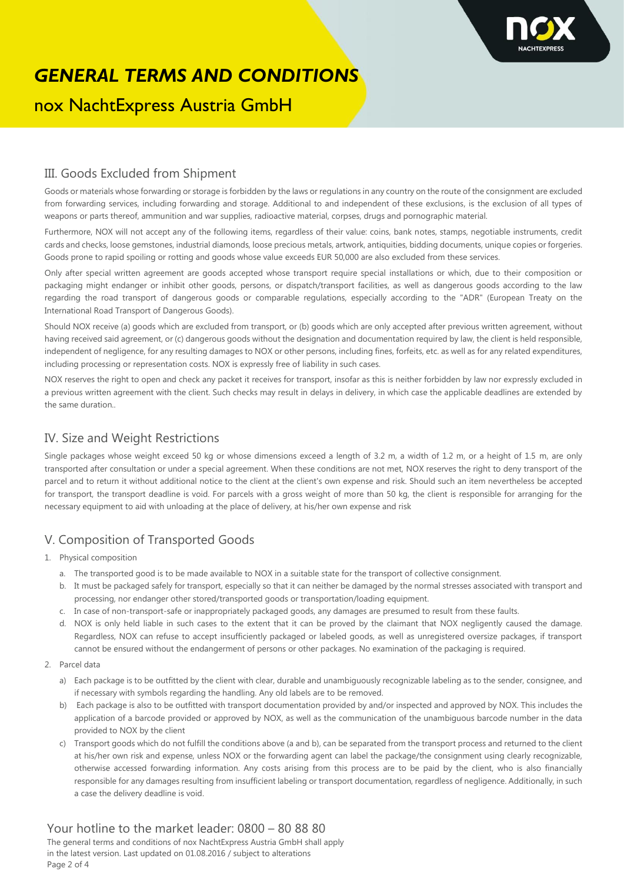

# nox NachtExpress Austria GmbH

### III. Goods Excluded from Shipment

Goods or materials whose forwarding or storage is forbidden by the laws or regulations in any country on the route of the consignment are excluded from forwarding services, including forwarding and storage. Additional to and independent of these exclusions, is the exclusion of all types of weapons or parts thereof, ammunition and war supplies, radioactive material, corpses, drugs and pornographic material.

Furthermore, NOX will not accept any of the following items, regardless of their value: coins, bank notes, stamps, negotiable instruments, credit cards and checks, loose gemstones, industrial diamonds, loose precious metals, artwork, antiquities, bidding documents, unique copies or forgeries. Goods prone to rapid spoiling or rotting and goods whose value exceeds EUR 50,000 are also excluded from these services.

Only after special written agreement are goods accepted whose transport require special installations or which, due to their composition or packaging might endanger or inhibit other goods, persons, or dispatch/transport facilities, as well as dangerous goods according to the law regarding the road transport of dangerous goods or comparable regulations, especially according to the "ADR" (European Treaty on the International Road Transport of Dangerous Goods).

Should NOX receive (a) goods which are excluded from transport, or (b) goods which are only accepted after previous written agreement, without having received said agreement, or (c) dangerous goods without the designation and documentation required by law, the client is held responsible, independent of negligence, for any resulting damages to NOX or other persons, including fines, forfeits, etc. as well as for any related expenditures, including processing or representation costs. NOX is expressly free of liability in such cases.

NOX reserves the right to open and check any packet it receives for transport, insofar as this is neither forbidden by law nor expressly excluded in a previous written agreement with the client. Such checks may result in delays in delivery, in which case the applicable deadlines are extended by the same duration..

### IV. Size and Weight Restrictions

Single packages whose weight exceed 50 kg or whose dimensions exceed a length of 3.2 m, a width of 1.2 m, or a height of 1.5 m, are only transported after consultation or under a special agreement. When these conditions are not met, NOX reserves the right to deny transport of the parcel and to return it without additional notice to the client at the client's own expense and risk. Should such an item nevertheless be accepted for transport, the transport deadline is void. For parcels with a gross weight of more than 50 kg, the client is responsible for arranging for the necessary equipment to aid with unloading at the place of delivery, at his/her own expense and risk

## V. Composition of Transported Goods

- 1. Physical composition
	- a. The transported good is to be made available to NOX in a suitable state for the transport of collective consignment.
	- b. It must be packaged safely for transport, especially so that it can neither be damaged by the normal stresses associated with transport and processing, nor endanger other stored/transported goods or transportation/loading equipment.
	- c. In case of non-transport-safe or inappropriately packaged goods, any damages are presumed to result from these faults.
	- d. NOX is only held liable in such cases to the extent that it can be proved by the claimant that NOX negligently caused the damage. Regardless, NOX can refuse to accept insufficiently packaged or labeled goods, as well as unregistered oversize packages, if transport cannot be ensured without the endangerment of persons or other packages. No examination of the packaging is required.
- 2. Parcel data
	- a) Each package is to be outfitted by the client with clear, durable and unambiguously recognizable labeling as to the sender, consignee, and if necessary with symbols regarding the handling. Any old labels are to be removed.
	- b) Each package is also to be outfitted with transport documentation provided by and/or inspected and approved by NOX. This includes the application of a barcode provided or approved by NOX, as well as the communication of the unambiguous barcode number in the data provided to NOX by the client
	- c) Transport goods which do not fulfill the conditions above (a and b), can be separated from the transport process and returned to the client at his/her own risk and expense, unless NOX or the forwarding agent can label the package/the consignment using clearly recognizable, otherwise accessed forwarding information. Any costs arising from this process are to be paid by the client, who is also financially responsible for any damages resulting from insufficient labeling or transport documentation, regardless of negligence. Additionally, in such a case the delivery deadline is void.

Your hotline to the market leader: 0800 – 80 88 80 The general terms and conditions of nox NachtExpress Austria GmbH shall apply in the latest version. Last updated on 01.08.2016 / subject to alterations Page 2 of 4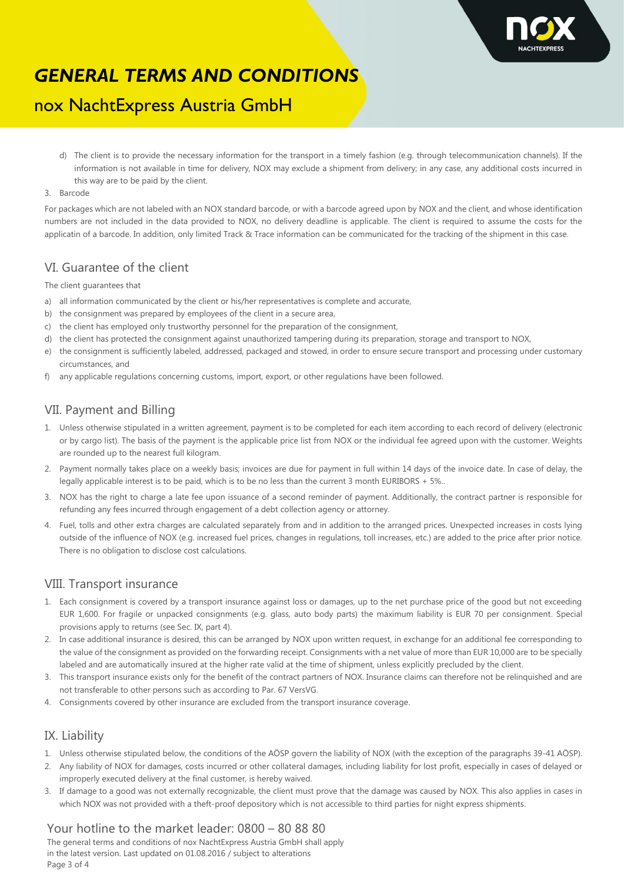

## nox NachtExpress Austria GmbH

- d) The client is to provide the necessary information for the transport in a timely fashion (e.g. through telecommunication channels). If the information is not available in time for delivery, NOX may exclude a shipment from delivery; in any case, any additional costs incurred in this way are to be paid by the client.
- 3. Barcode

For packages which are not labeled with an NOX standard barcode, or with a barcode agreed upon by NOX and the client, and whose identification numbers are not included in the data provided to NOX, no delivery deadline is applicable. The client is required to assume the costs for the applicatin of a barcode. In addition, only limited Track & Trace information can be communicated for the tracking of the shipment in this case.

### VI. Guarantee of the client

The client guarantees that

- a) all information communicated by the client or his/her representatives is complete and accurate,
- b) the consignment was prepared by employees of the client in a secure area,
- c) the client has employed only trustworthy personnel for the preparation of the consignment,
- d) the client has protected the consignment against unauthorized tampering during its preparation, storage and transport to NOX,
- e) the consignment is sufficiently labeled, addressed, packaged and stowed, in order to ensure secure transport and processing under customary circumstances, and
- f) any applicable regulations concerning customs, import, export, or other regulations have been followed.

## VII. Payment and Billing

- 1. Unless otherwise stipulated in a written agreement, payment is to be completed for each item according to each record of delivery (electronic or by cargo list). The basis of the payment is the applicable price list from NOX or the individual fee agreed upon with the customer. Weights are rounded up to the nearest full kilogram.
- 2. Payment normally takes place on a weekly basis; invoices are due for payment in full within 14 days of the invoice date. In case of delay, the legally applicable interest is to be paid, which is to be no less than the current 3 month EURIBORS + 5%..
- 3. NOX has the right to charge a late fee upon issuance of a second reminder of payment. Additionally, the contract partner is responsible for refunding any fees incurred through engagement of a debt collection agency or attorney.
- 4. Fuel, tolls and other extra charges are calculated separately from and in addition to the arranged prices. Unexpected increases in costs lying outside of the influence of NOX (e.g. increased fuel prices, changes in regulations, toll increases, etc.) are added to the price after prior notice. There is no obligation to disclose cost calculations.

### VIII. Transport insurance

- 1. Each consignment is covered by a transport insurance against loss or damages, up to the net purchase price of the good but not exceeding EUR 1,600. For fragile or unpacked consignments (e.g. glass, auto body parts) the maximum liability is EUR 70 per consignment. Special provisions apply to returns (see Sec. IX, part 4).
- 2. In case additional insurance is desired, this can be arranged by NOX upon written request, in exchange for an additional fee corresponding to the value of the consignment as provided on the forwarding receipt. Consignments with a net value of more than EUR 10,000 are to be specially labeled and are automatically insured at the higher rate valid at the time of shipment, unless explicitly precluded by the client.
- 3. This transport insurance exists only for the benefit of the contract partners of NOX. Insurance claims can therefore not be relinquished and are not transferable to other persons such as according to Par. 67 VersVG.
- 4. Consignments covered by other insurance are excluded from the transport insurance coverage.

### IX. Liability

- 1. Unless otherwise stipulated below, the conditions of the AÖSP govern the liability of NOX (with the exception of the paragraphs 39-41 AÖSP).
- 2. Any liability of NOX for damages, costs incurred or other collateral damages, including liability for lost profit, especially in cases of delayed or improperly executed delivery at the final customer, is hereby waived.
- 3. If damage to a good was not externally recognizable, the client must prove that the damage was caused by NOX. This also applies in cases in which NOX was not provided with a theft-proof depository which is not accessible to third parties for night express shipments.

## Your hotline to the market leader: 0800 – 80 88 80

The general terms and conditions of nox NachtExpress Austria GmbH shall apply in the latest version. Last updated on 01.08.2016 / subject to alterations Page 3 of 4